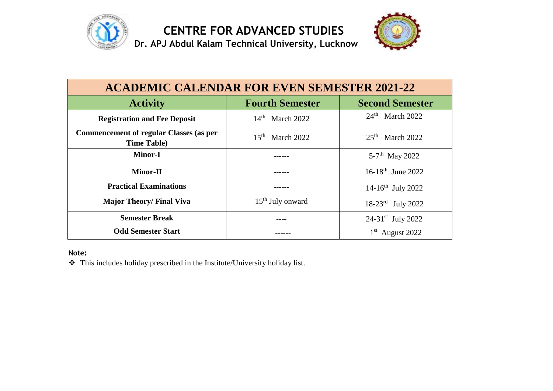

 **CENTRE FOR ADVANCED STUDIES**

**Dr. APJ Abdul Kalam Technical University, Lucknow** 



| <b>ACADEMIC CALENDAR FOR EVEN SEMESTER 2021-22</b>                    |                                |                                 |
|-----------------------------------------------------------------------|--------------------------------|---------------------------------|
| <b>Activity</b>                                                       | <b>Fourth Semester</b>         | <b>Second Semester</b>          |
| <b>Registration and Fee Deposit</b>                                   | $14th$ March 2022              | $24^{\text{th}}$<br>March 2022  |
| <b>Commencement of regular Classes (as per</b><br><b>Time Table</b> ) | $15^{\text{th}}$<br>March 2022 | $25^{\text{th}}$<br>March 2022  |
| <b>Minor-I</b>                                                        |                                | $5-7$ <sup>th</sup> May 2022    |
| Minor-II                                                              |                                | $16-18^{th}$ June 2022          |
| <b>Practical Examinations</b>                                         |                                | $14-16^{th}$ July 2022          |
| <b>Major Theory/Final Viva</b>                                        | $15th$ July onward             | $18-23$ <sup>rd</sup> July 2022 |
| <b>Semester Break</b>                                                 |                                | $24-31$ <sup>st</sup> July 2022 |
| <b>Odd Semester Start</b>                                             |                                | $1st$ August 2022               |

**Note:**

❖ This includes holiday prescribed in the Institute/University holiday list.